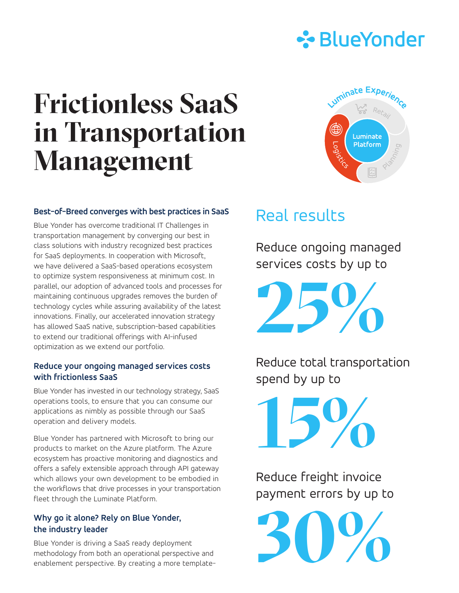

# **Frictionless SaaS in Transportation Management**



### **Best-of-Breed converges with best practices in SaaS**

Blue Yonder has overcome traditional IT Challenges in transportation management by converging our best in class solutions with industry recognized best practices for SaaS deployments. In cooperation with Microsoft, we have delivered a SaaS-based operations ecosystem to optimize system responsiveness at minimum cost. In parallel, our adoption of advanced tools and processes for maintaining continuous upgrades removes the burden of technology cycles while assuring availability of the latest innovations. Finally, our accelerated innovation strategy has allowed SaaS native, subscription-based capabilities to extend our traditional offerings with AI-infused optimization as we extend our portfolio.

#### **Reduce your ongoing managed services costs with frictionless SaaS**

Blue Yonder has invested in our technology strategy, SaaS operations tools, to ensure that you can consume our applications as nimbly as possible through our SaaS operation and delivery models.

Blue Yonder has partnered with Microsoft to bring our products to market on the Azure platform. The Azure ecosystem has proactive monitoring and diagnostics and offers a safely extensible approach through API gateway which allows your own development to be embodied in the workflows that drive processes in your transportation fleet through the Luminate Platform.

### **Why go it alone? Rely on Blue Yonder, the industry leader**

Blue Yonder is driving a SaaS ready deployment methodology from both an operational perspective and enablement perspective. By creating a more template-

## Real results

Reduce ongoing managed services costs by up to

**25%**

Reduce total transportation spend by up to

**15%**

Reduce freight invoice payment errors by up to

**30%**